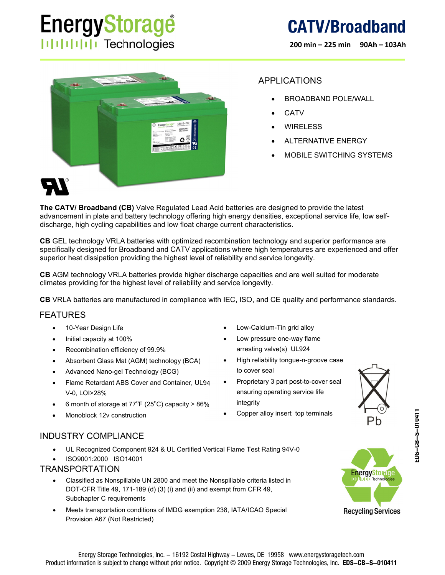# **EnergyStorage IIIIIIIIIIII** Technologies

200 min - 225 min 90Ah - 103Ah



### **APPLICATIONS**

- **BROADBAND POLE/WALL**
- CATV
- **WIRELESS**
- **ALTERNATIVE ENERGY**
- MOBILE SWITCHING SYSTEMS

The CATV/ Broadband (CB) Valve Regulated Lead Acid batteries are designed to provide the latest advancement in plate and battery technology offering high energy densities, exceptional service life, low selfdischarge, high cycling capabilities and low float charge current characteristics.

CB GEL technology VRLA batteries with optimized recombination technology and superior performance are specifically designed for Broadband and CATV applications where high temperatures are experienced and offer superior heat dissipation providing the highest level of reliability and service longevity.

CB AGM technology VRLA batteries provide higher discharge capacities and are well suited for moderate climates providing for the highest level of reliability and service longevity.

CB VRLA batteries are manufactured in compliance with IEC, ISO, and CE quality and performance standards.

### **FEATURES**

- 10-Year Design Life  $\bullet$
- Initial capacity at 100%
- Recombination efficiency of 99.9%
- Absorbent Glass Mat (AGM) technology (BCA)
- Advanced Nano-gel Technology (BCG)
- Flame Retardant ABS Cover and Container, UL94 V-0. LOI>28%
- 6 month of storage at  $77^{\circ}F$  (25°C) capacity > 86%
- Monoblock 12y construction
- Low-Calcium-Tin grid alloy
- Low pressure one-way flame arresting valve(s) UL924
- High reliability tongue-n-groove case to cover seal
- Proprietary 3 part post-to-cover seal ensuring operating service life integrity
- Copper alloy insert top terminals



### **INDUSTRY COMPLIANCE**

- UL Recognized Component 924 & UL Certified Vertical Flame Test Rating 94V-0
- ISO9001:2000 ISO14001

#### **TRANSPORTATION**

- Classified as Nonspillable UN 2800 and meet the Nonspillable criteria listed in DOT-CFR Title 49, 171-189 (d) (3) (i) and (ii) and exempt from CFR 49, Subchapter C requirements
- Meets transportation conditions of IMDG exemption 238, IATA/ICAO Special Provision A67 (Not Restricted)